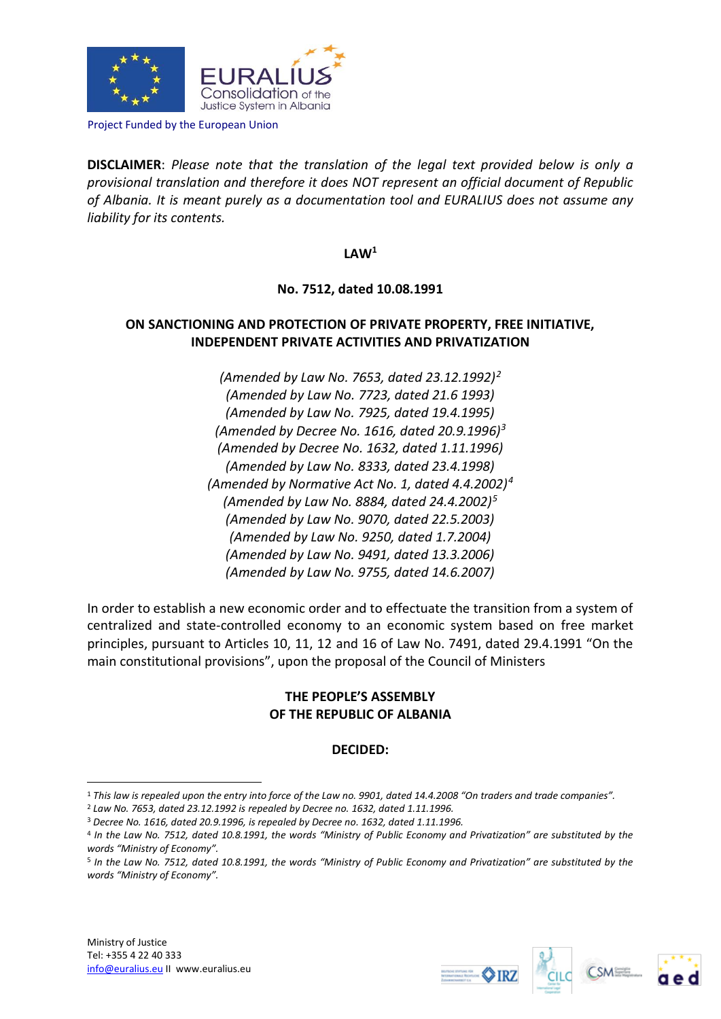

Project Funded by the European Union

**DISCLAIMER**: *Please note that the translation of the legal text provided below is only a provisional translation and therefore it does NOT represent an official document of Republic of Albania. It is meant purely as a documentation tool and EURALIUS does not assume any liability for its contents.*

**LAW<sup>1</sup>**

**No. 7512, dated 10.08.1991**

# **ON SANCTIONING AND PROTECTION OF PRIVATE PROPERTY, FREE INITIATIVE, INDEPENDENT PRIVATE ACTIVITIES AND PRIVATIZATION**

*(Amended by Law No. 7653, dated 23.12.1992)<sup>2</sup> (Amended by Law No. 7723, dated 21.6 1993) (Amended by Law No. 7925, dated 19.4.1995) (Amended by Decree No. 1616, dated 20.9.1996)<sup>3</sup> (Amended by Decree No. 1632, dated 1.11.1996) (Amended by Law No. 8333, dated 23.4.1998) (Amended by Normative Act No. 1, dated 4.4.2002)<sup>4</sup> (Amended by Law No. 8884, dated 24.4.2002)<sup>5</sup> (Amended by Law No. 9070, dated 22.5.2003) (Amended by Law No. 9250, dated 1.7.2004) (Amended by Law No. 9491, dated 13.3.2006) (Amended by Law No. 9755, dated 14.6.2007)*

In order to establish a new economic order and to effectuate the transition from a system of centralized and state-controlled economy to an economic system based on free market principles, pursuant to Articles 10, 11, 12 and 16 of Law No. 7491, dated 29.4.1991 "On the main constitutional provisions", upon the proposal of the Council of Ministers

# **THE PEOPLE'S ASSEMBLY OF THE REPUBLIC OF ALBANIA**

# **DECIDED:**

1







<sup>1</sup> *This law is repealed upon the entry into force of the Law no. 9901, dated 14.4.2008 "On traders and trade companies".*

<sup>2</sup> *Law No. 7653, dated 23.12.1992 is repealed by Decree no. 1632, dated 1.11.1996.*

<sup>3</sup> *Decree No. 1616, dated 20.9.1996, is repealed by Decree no. 1632, dated 1.11.1996.* 

<sup>4</sup> *In the Law No. 7512, dated 10.8.1991, the words "Ministry of Public Economy and Privatization" are substituted by the words "Ministry of Economy".* 

<sup>5</sup> *In the Law No. 7512, dated 10.8.1991, the words "Ministry of Public Economy and Privatization" are substituted by the words "Ministry of Economy".*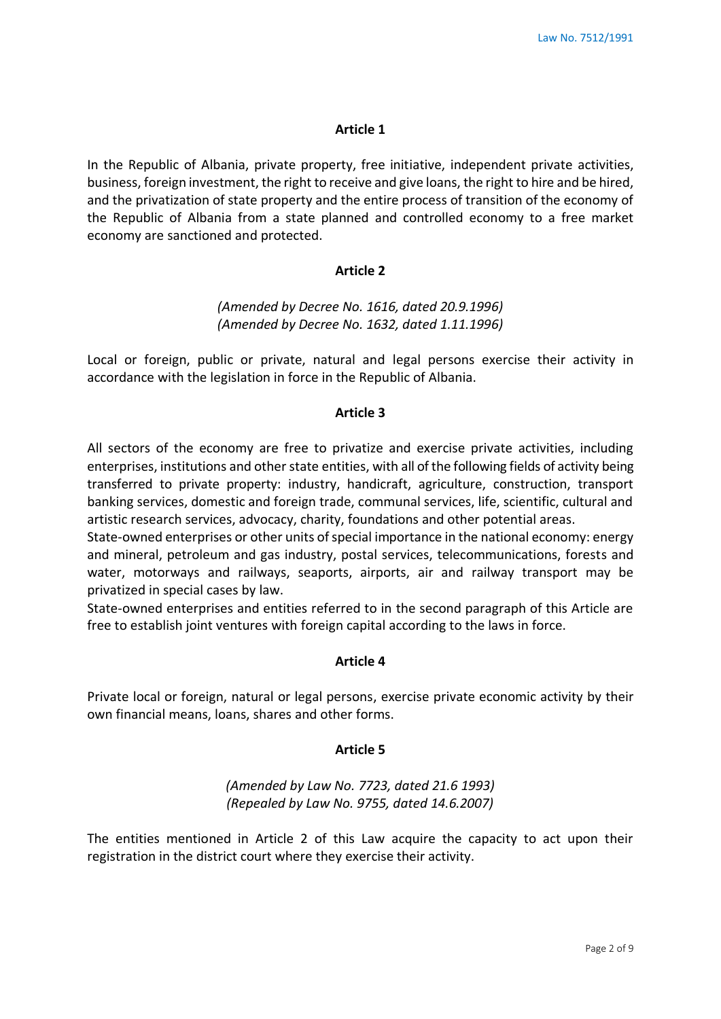In the Republic of Albania, private property, free initiative, independent private activities, business, foreign investment, the right to receive and give loans, the right to hire and be hired, and the privatization of state property and the entire process of transition of the economy of the Republic of Albania from a state planned and controlled economy to a free market economy are sanctioned and protected.

### **Article 2**

# *(Amended by Decree No. 1616, dated 20.9.1996) (Amended by Decree No. 1632, dated 1.11.1996)*

Local or foreign, public or private, natural and legal persons exercise their activity in accordance with the legislation in force in the Republic of Albania.

## **Article 3**

All sectors of the economy are free to privatize and exercise private activities, including enterprises, institutions and other state entities, with all of the following fields of activity being transferred to private property: industry, handicraft, agriculture, construction, transport banking services, domestic and foreign trade, communal services, life, scientific, cultural and artistic research services, advocacy, charity, foundations and other potential areas.

State-owned enterprises or other units of special importance in the national economy: energy and mineral, petroleum and gas industry, postal services, telecommunications, forests and water, motorways and railways, seaports, airports, air and railway transport may be privatized in special cases by law.

State-owned enterprises and entities referred to in the second paragraph of this Article are free to establish joint ventures with foreign capital according to the laws in force.

## **Article 4**

Private local or foreign, natural or legal persons, exercise private economic activity by their own financial means, loans, shares and other forms.

#### **Article 5**

## *(Amended by Law No. 7723, dated 21.6 1993) (Repealed by Law No. 9755, dated 14.6.2007)*

The entities mentioned in Article 2 of this Law acquire the capacity to act upon their registration in the district court where they exercise their activity.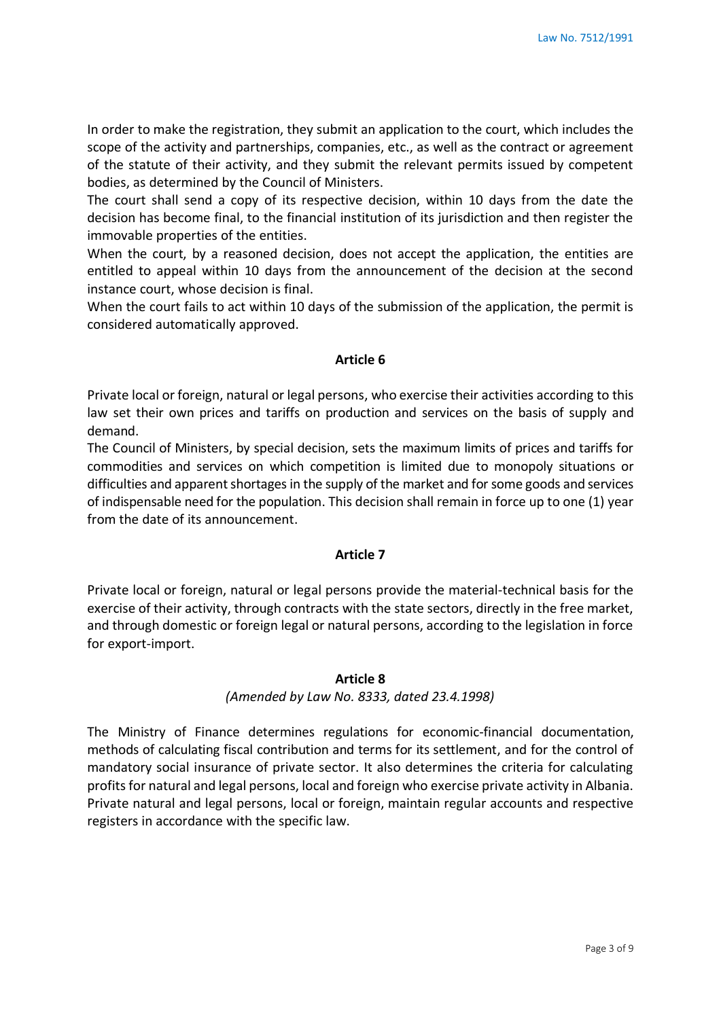In order to make the registration, they submit an application to the court, which includes the scope of the activity and partnerships, companies, etc., as well as the contract or agreement of the statute of their activity, and they submit the relevant permits issued by competent bodies, as determined by the Council of Ministers.

The court shall send a copy of its respective decision, within 10 days from the date the decision has become final, to the financial institution of its jurisdiction and then register the immovable properties of the entities.

When the court, by a reasoned decision, does not accept the application, the entities are entitled to appeal within 10 days from the announcement of the decision at the second instance court, whose decision is final.

When the court fails to act within 10 days of the submission of the application, the permit is considered automatically approved.

## **Article 6**

Private local or foreign, natural or legal persons, who exercise their activities according to this law set their own prices and tariffs on production and services on the basis of supply and demand.

The Council of Ministers, by special decision, sets the maximum limits of prices and tariffs for commodities and services on which competition is limited due to monopoly situations or difficulties and apparent shortages in the supply of the market and for some goods and services of indispensable need for the population. This decision shall remain in force up to one (1) year from the date of its announcement.

## **Article 7**

Private local or foreign, natural or legal persons provide the material-technical basis for the exercise of their activity, through contracts with the state sectors, directly in the free market, and through domestic or foreign legal or natural persons, according to the legislation in force for export-import.

## **Article 8**

# *(Amended by Law No. 8333, dated 23.4.1998)*

The Ministry of Finance determines regulations for economic-financial documentation, methods of calculating fiscal contribution and terms for its settlement, and for the control of mandatory social insurance of private sector. It also determines the criteria for calculating profits for natural and legal persons, local and foreign who exercise private activity in Albania. Private natural and legal persons, local or foreign, maintain regular accounts and respective registers in accordance with the specific law.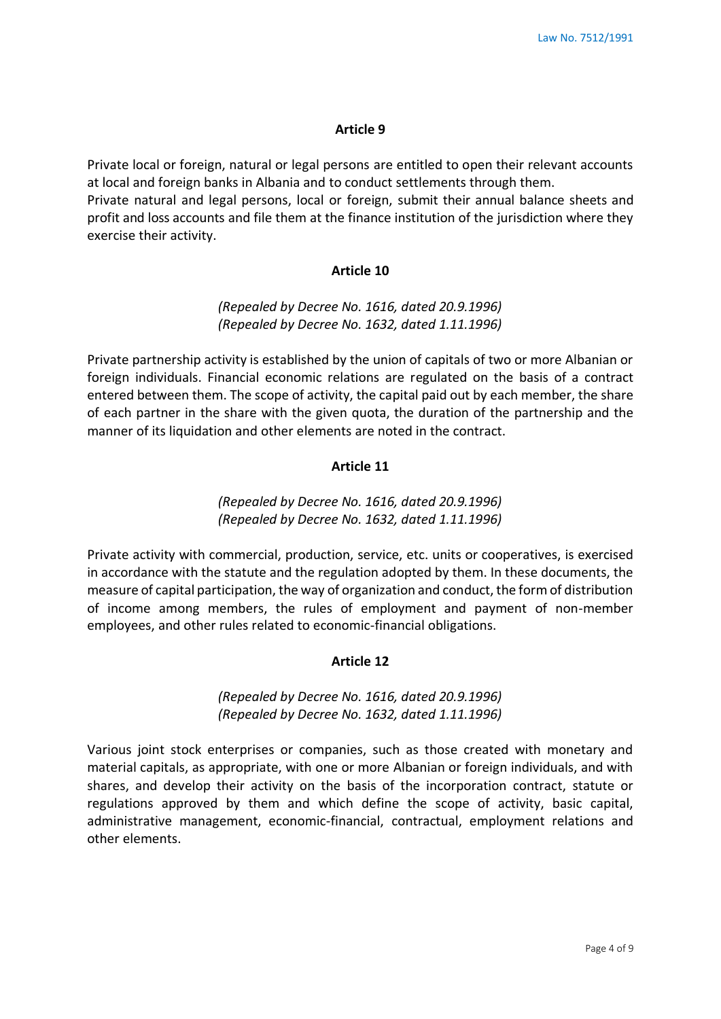Private local or foreign, natural or legal persons are entitled to open their relevant accounts at local and foreign banks in Albania and to conduct settlements through them.

Private natural and legal persons, local or foreign, submit their annual balance sheets and profit and loss accounts and file them at the finance institution of the jurisdiction where they exercise their activity.

## **Article 10**

# *(Repealed by Decree No. 1616, dated 20.9.1996) (Repealed by Decree No. 1632, dated 1.11.1996)*

Private partnership activity is established by the union of capitals of two or more Albanian or foreign individuals. Financial economic relations are regulated on the basis of a contract entered between them. The scope of activity, the capital paid out by each member, the share of each partner in the share with the given quota, the duration of the partnership and the manner of its liquidation and other elements are noted in the contract.

## **Article 11**

# *(Repealed by Decree No. 1616, dated 20.9.1996) (Repealed by Decree No. 1632, dated 1.11.1996)*

Private activity with commercial, production, service, etc. units or cooperatives, is exercised in accordance with the statute and the regulation adopted by them. In these documents, the measure of capital participation, the way of organization and conduct, the form of distribution of income among members, the rules of employment and payment of non-member employees, and other rules related to economic-financial obligations.

## **Article 12**

# *(Repealed by Decree No. 1616, dated 20.9.1996) (Repealed by Decree No. 1632, dated 1.11.1996)*

Various joint stock enterprises or companies, such as those created with monetary and material capitals, as appropriate, with one or more Albanian or foreign individuals, and with shares, and develop their activity on the basis of the incorporation contract, statute or regulations approved by them and which define the scope of activity, basic capital, administrative management, economic-financial, contractual, employment relations and other elements.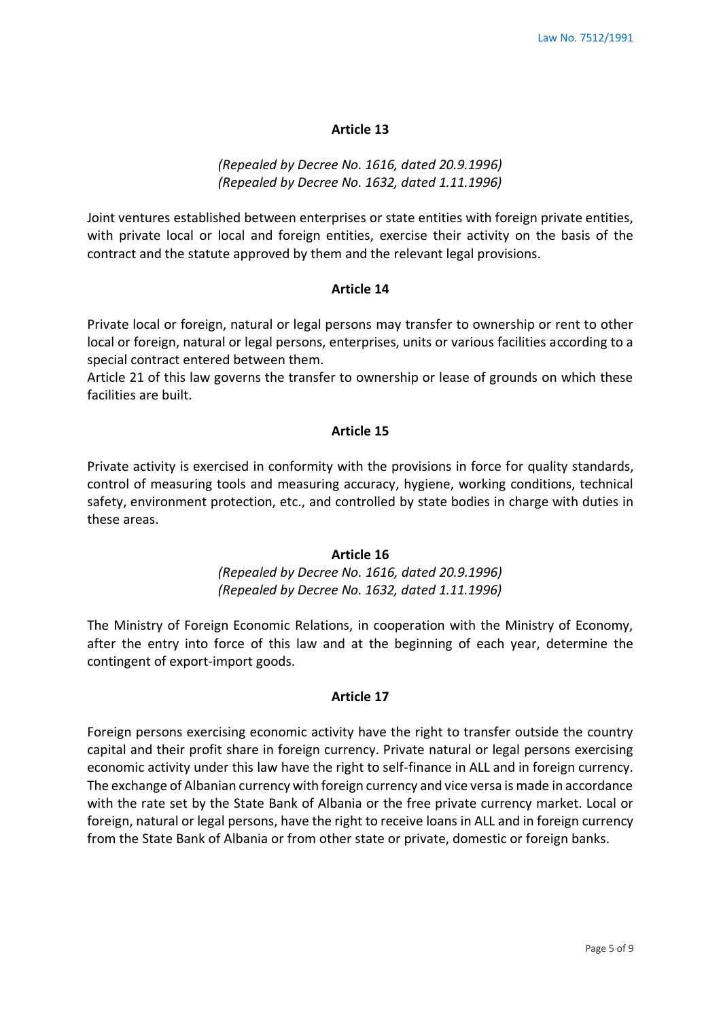# *(Repealed by Decree No. 1616, dated 20.9.1996) (Repealed by Decree No. 1632, dated 1.11.1996)*

Joint ventures established between enterprises or state entities with foreign private entities, with private local or local and foreign entities, exercise their activity on the basis of the contract and the statute approved by them and the relevant legal provisions.

### **Article 14**

Private local or foreign, natural or legal persons may transfer to ownership or rent to other local or foreign, natural or legal persons, enterprises, units or various facilities according to a special contract entered between them.

Article 21 of this law governs the transfer to ownership or lease of grounds on which these facilities are built.

### **Article 15**

Private activity is exercised in conformity with the provisions in force for quality standards, control of measuring tools and measuring accuracy, hygiene, working conditions, technical safety, environment protection, etc., and controlled by state bodies in charge with duties in these areas.

# **Article 16** *(Repealed by Decree No. 1616, dated 20.9.1996) (Repealed by Decree No. 1632, dated 1.11.1996)*

The Ministry of Foreign Economic Relations, in cooperation with the Ministry of Economy, after the entry into force of this law and at the beginning of each year, determine the contingent of export-import goods.

## **Article 17**

Foreign persons exercising economic activity have the right to transfer outside the country capital and their profit share in foreign currency. Private natural or legal persons exercising economic activity under this law have the right to self-finance in ALL and in foreign currency. The exchange of Albanian currency with foreign currency and vice versa is made in accordance with the rate set by the State Bank of Albania or the free private currency market. Local or foreign, natural or legal persons, have the right to receive loans in ALL and in foreign currency from the State Bank of Albania or from other state or private, domestic or foreign banks.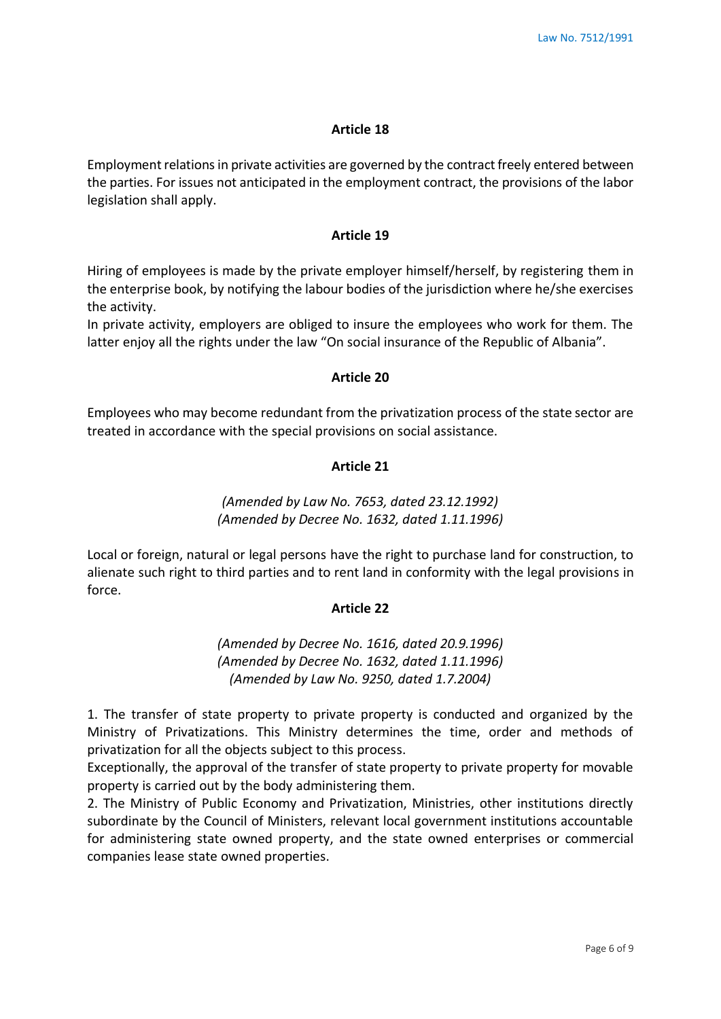Employment relations in private activities are governed by the contract freely entered between the parties. For issues not anticipated in the employment contract, the provisions of the labor legislation shall apply.

### **Article 19**

Hiring of employees is made by the private employer himself/herself, by registering them in the enterprise book, by notifying the labour bodies of the jurisdiction where he/she exercises the activity.

In private activity, employers are obliged to insure the employees who work for them. The latter enjoy all the rights under the law "On social insurance of the Republic of Albania".

### **Article 20**

Employees who may become redundant from the privatization process of the state sector are treated in accordance with the special provisions on social assistance.

## **Article 21**

# *(Amended by Law No. 7653, dated 23.12.1992) (Amended by Decree No. 1632, dated 1.11.1996)*

Local or foreign, natural or legal persons have the right to purchase land for construction, to alienate such right to third parties and to rent land in conformity with the legal provisions in force.

## **Article 22**

*(Amended by Decree No. 1616, dated 20.9.1996) (Amended by Decree No. 1632, dated 1.11.1996) (Amended by Law No. 9250, dated 1.7.2004)*

1. The transfer of state property to private property is conducted and organized by the Ministry of Privatizations. This Ministry determines the time, order and methods of privatization for all the objects subject to this process.

Exceptionally, the approval of the transfer of state property to private property for movable property is carried out by the body administering them.

2. The Ministry of Public Economy and Privatization, Ministries, other institutions directly subordinate by the Council of Ministers, relevant local government institutions accountable for administering state owned property, and the state owned enterprises or commercial companies lease state owned properties.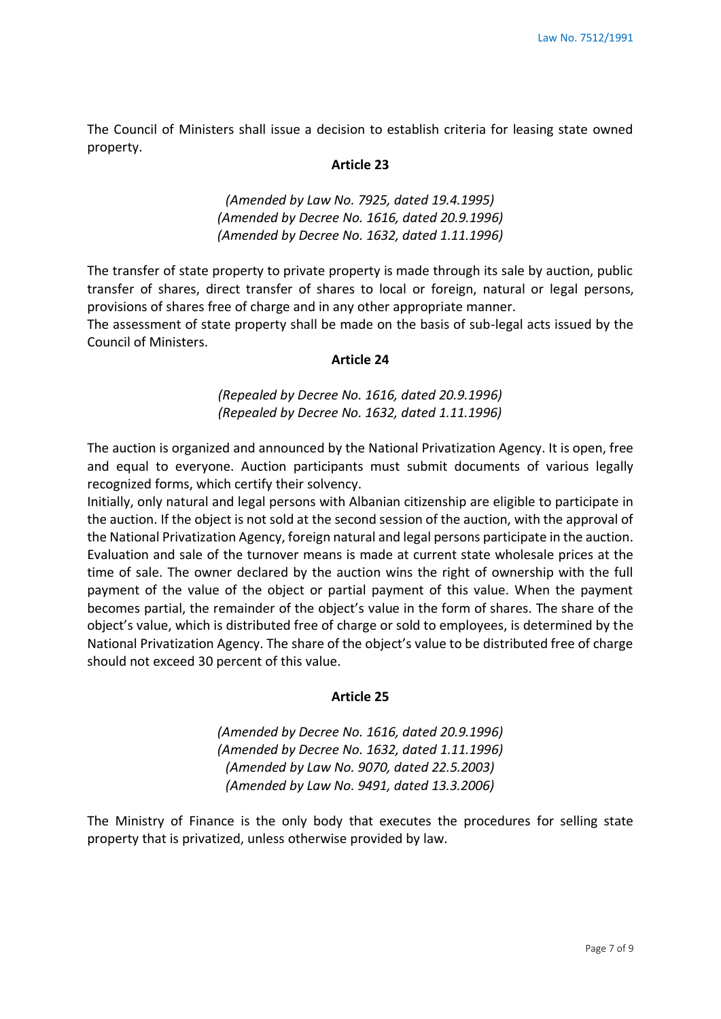The Council of Ministers shall issue a decision to establish criteria for leasing state owned property.

### **Article 23**

*(Amended by Law No. 7925, dated 19.4.1995) (Amended by Decree No. 1616, dated 20.9.1996) (Amended by Decree No. 1632, dated 1.11.1996)*

The transfer of state property to private property is made through its sale by auction, public transfer of shares, direct transfer of shares to local or foreign, natural or legal persons, provisions of shares free of charge and in any other appropriate manner.

The assessment of state property shall be made on the basis of sub-legal acts issued by the Council of Ministers.

### **Article 24**

*(Repealed by Decree No. 1616, dated 20.9.1996) (Repealed by Decree No. 1632, dated 1.11.1996)*

The auction is organized and announced by the National Privatization Agency. It is open, free and equal to everyone. Auction participants must submit documents of various legally recognized forms, which certify their solvency.

Initially, only natural and legal persons with Albanian citizenship are eligible to participate in the auction. If the object is not sold at the second session of the auction, with the approval of the National Privatization Agency, foreign natural and legal persons participate in the auction. Evaluation and sale of the turnover means is made at current state wholesale prices at the time of sale. The owner declared by the auction wins the right of ownership with the full payment of the value of the object or partial payment of this value. When the payment becomes partial, the remainder of the object's value in the form of shares. The share of the object's value, which is distributed free of charge or sold to employees, is determined by the National Privatization Agency. The share of the object's value to be distributed free of charge should not exceed 30 percent of this value.

### **Article 25**

*(Amended by Decree No. 1616, dated 20.9.1996) (Amended by Decree No. 1632, dated 1.11.1996) (Amended by Law No. 9070, dated 22.5.2003) (Amended by Law No. 9491, dated 13.3.2006)*

The Ministry of Finance is the only body that executes the procedures for selling state property that is privatized, unless otherwise provided by law.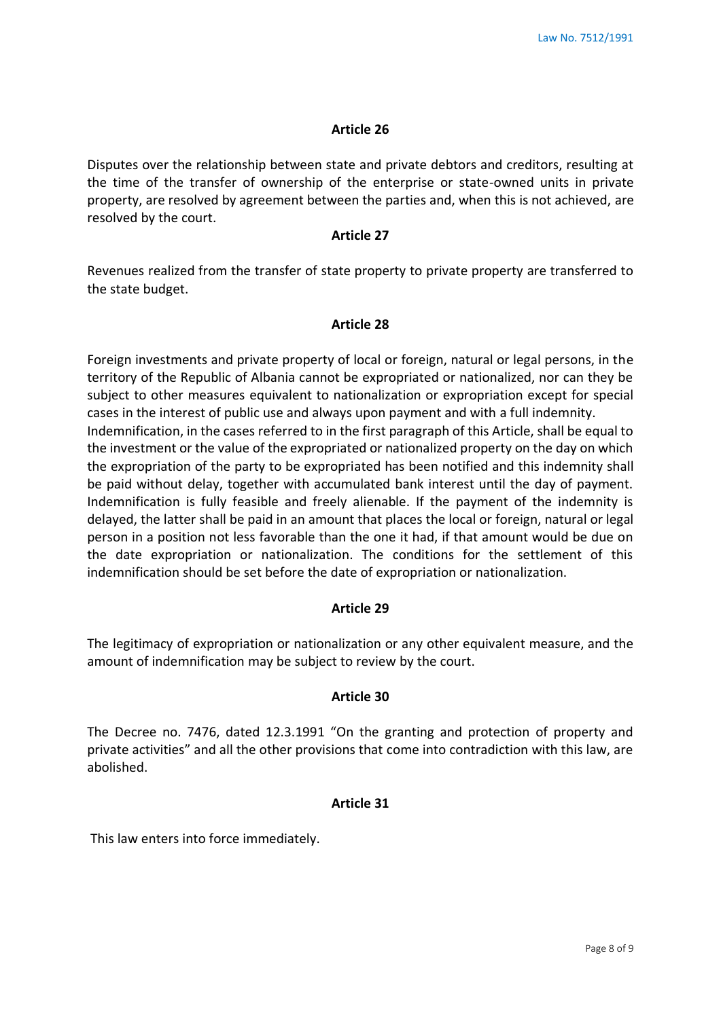Disputes over the relationship between state and private debtors and creditors, resulting at the time of the transfer of ownership of the enterprise or state-owned units in private property, are resolved by agreement between the parties and, when this is not achieved, are resolved by the court.

## **Article 27**

Revenues realized from the transfer of state property to private property are transferred to the state budget.

## **Article 28**

Foreign investments and private property of local or foreign, natural or legal persons, in the territory of the Republic of Albania cannot be expropriated or nationalized, nor can they be subject to other measures equivalent to nationalization or expropriation except for special cases in the interest of public use and always upon payment and with a full indemnity. Indemnification, in the cases referred to in the first paragraph of this Article, shall be equal to the investment or the value of the expropriated or nationalized property on the day on which the expropriation of the party to be expropriated has been notified and this indemnity shall be paid without delay, together with accumulated bank interest until the day of payment. Indemnification is fully feasible and freely alienable. If the payment of the indemnity is delayed, the latter shall be paid in an amount that places the local or foreign, natural or legal person in a position not less favorable than the one it had, if that amount would be due on the date expropriation or nationalization. The conditions for the settlement of this indemnification should be set before the date of expropriation or nationalization.

## **Article 29**

The legitimacy of expropriation or nationalization or any other equivalent measure, and the amount of indemnification may be subject to review by the court.

## **Article 30**

The Decree no. 7476, dated 12.3.1991 "On the granting and protection of property and private activities" and all the other provisions that come into contradiction with this law, are abolished.

## **Article 31**

This law enters into force immediately.